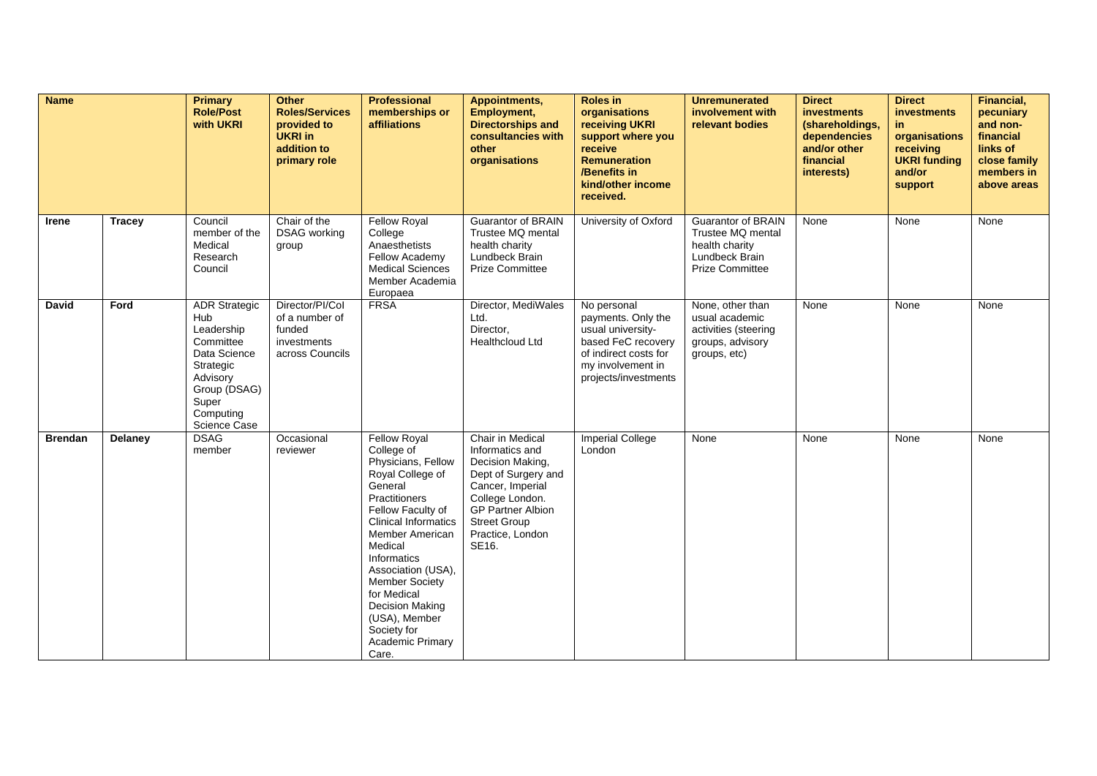| <b>Name</b>    |               | Primary<br><b>Role/Post</b><br>with UKRI                                                                                                              | <b>Other</b><br><b>Roles/Services</b><br>provided to<br><b>UKRI in</b><br>addition to<br>primary role | <b>Professional</b><br>memberships or<br><b>affiliations</b>                                                                                                                                                                                                                                                                                                         | Appointments,<br>Employment,<br><b>Directorships and</b><br>consultancies with<br>other<br>organisations                                                                                              | <b>Roles in</b><br>organisations<br>receiving UKRI<br>support where you<br>receive<br><b>Remuneration</b><br>/Benefits in<br>kind/other income<br>received. | <b>Unremunerated</b><br>involvement with<br>relevant bodies                                           | <b>Direct</b><br><b>investments</b><br>(shareholdings,<br>dependencies<br>and/or other<br>financial<br>interests) | <b>Direct</b><br>investments<br>in.<br>organisations<br>receiving<br><b>UKRI</b> funding<br>and/or<br>support | <b>Financial,</b><br>pecuniary<br>and non-<br>financial<br>links of<br>close family<br>members in<br>above areas |
|----------------|---------------|-------------------------------------------------------------------------------------------------------------------------------------------------------|-------------------------------------------------------------------------------------------------------|----------------------------------------------------------------------------------------------------------------------------------------------------------------------------------------------------------------------------------------------------------------------------------------------------------------------------------------------------------------------|-------------------------------------------------------------------------------------------------------------------------------------------------------------------------------------------------------|-------------------------------------------------------------------------------------------------------------------------------------------------------------|-------------------------------------------------------------------------------------------------------|-------------------------------------------------------------------------------------------------------------------|---------------------------------------------------------------------------------------------------------------|------------------------------------------------------------------------------------------------------------------|
| Irene          | <b>Tracey</b> | Council<br>member of the<br>Medical<br>Research<br>Council                                                                                            | Chair of the<br><b>DSAG</b> working<br>group                                                          | <b>Fellow Royal</b><br>College<br>Anaesthetists<br>Fellow Academy<br><b>Medical Sciences</b><br>Member Academia<br>Europaea                                                                                                                                                                                                                                          | <b>Guarantor of BRAIN</b><br>Trustee MQ mental<br>health charity<br>Lundbeck Brain<br><b>Prize Committee</b>                                                                                          | University of Oxford                                                                                                                                        | <b>Guarantor of BRAIN</b><br>Trustee MQ mental<br>health charity<br>Lundbeck Brain<br>Prize Committee | None                                                                                                              | None                                                                                                          | None                                                                                                             |
| <b>David</b>   | Ford          | <b>ADR Strategic</b><br>Hub<br>Leadership<br>Committee<br>Data Science<br>Strategic<br>Advisory<br>Group (DSAG)<br>Super<br>Computing<br>Science Case | Director/PI/Col<br>of a number of<br>funded<br>investments<br>across Councils                         | <b>FRSA</b>                                                                                                                                                                                                                                                                                                                                                          | Director, MediWales<br>Ltd.<br>Director,<br><b>Healthcloud Ltd</b>                                                                                                                                    | No personal<br>payments. Only the<br>usual university-<br>based FeC recovery<br>of indirect costs for<br>my involvement in<br>projects/investments          | None, other than<br>usual academic<br>activities (steering<br>groups, advisory<br>groups, etc)        | None                                                                                                              | None                                                                                                          | None                                                                                                             |
| <b>Brendan</b> | Delaney       | <b>DSAG</b><br>member                                                                                                                                 | Occasional<br>reviewer                                                                                | <b>Fellow Royal</b><br>College of<br>Physicians, Fellow<br>Royal College of<br>General<br><b>Practitioners</b><br>Fellow Faculty of<br><b>Clinical Informatics</b><br>Member American<br>Medical<br>Informatics<br>Association (USA),<br>Member Society<br>for Medical<br><b>Decision Making</b><br>(USA), Member<br>Society for<br><b>Academic Primary</b><br>Care. | Chair in Medical<br>Informatics and<br>Decision Making,<br>Dept of Surgery and<br>Cancer, Imperial<br>College London.<br><b>GP Partner Albion</b><br><b>Street Group</b><br>Practice, London<br>SE16. | <b>Imperial College</b><br>London                                                                                                                           | None                                                                                                  | None                                                                                                              | None                                                                                                          | None                                                                                                             |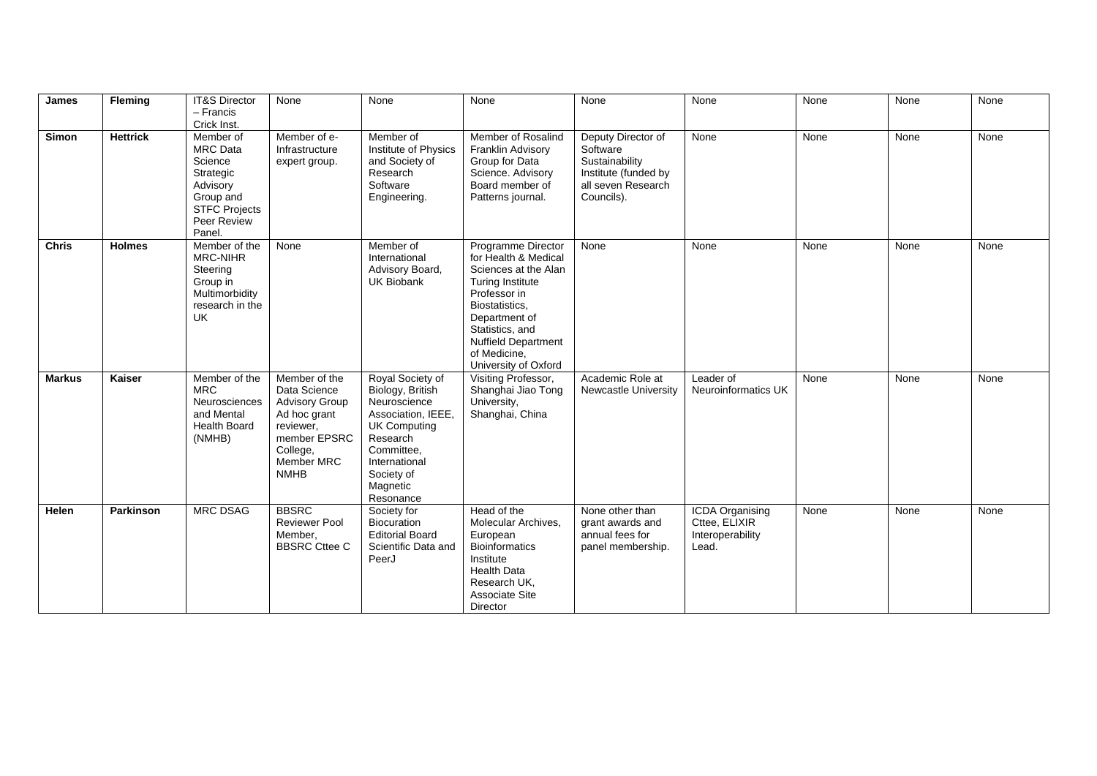| James         | Fleming          | <b>IT&amp;S Director</b><br>- Francis<br>Crick Inst.                                                                           | None                                                                                                                                                | None                                                                                                                                                                                | None                                                                                                                                                                                                                                      | None                                                                                                         | None                                                                 | None | None | None |
|---------------|------------------|--------------------------------------------------------------------------------------------------------------------------------|-----------------------------------------------------------------------------------------------------------------------------------------------------|-------------------------------------------------------------------------------------------------------------------------------------------------------------------------------------|-------------------------------------------------------------------------------------------------------------------------------------------------------------------------------------------------------------------------------------------|--------------------------------------------------------------------------------------------------------------|----------------------------------------------------------------------|------|------|------|
| <b>Simon</b>  | <b>Hettrick</b>  | Member of<br><b>MRC</b> Data<br>Science<br>Strategic<br>Advisory<br>Group and<br><b>STFC Projects</b><br>Peer Review<br>Panel. | Member of e-<br>Infrastructure<br>expert group.                                                                                                     | Member of<br>Institute of Physics<br>and Society of<br>Research<br>Software<br>Engineering.                                                                                         | Member of Rosalind<br>Franklin Advisory<br>Group for Data<br>Science. Advisory<br>Board member of<br>Patterns journal.                                                                                                                    | Deputy Director of<br>Software<br>Sustainability<br>Institute (funded by<br>all seven Research<br>Councils). | None                                                                 | None | None | None |
| <b>Chris</b>  | <b>Holmes</b>    | Member of the<br>MRC-NIHR<br>Steering<br>Group in<br>Multimorbidity<br>research in the<br><b>UK</b>                            | None                                                                                                                                                | Member of<br>International<br>Advisory Board,<br><b>UK Biobank</b>                                                                                                                  | Programme Director<br>for Health & Medical<br>Sciences at the Alan<br><b>Turing Institute</b><br>Professor in<br>Biostatistics.<br>Department of<br>Statistics, and<br><b>Nuffield Department</b><br>of Medicine,<br>University of Oxford | None                                                                                                         | None                                                                 | None | None | None |
| <b>Markus</b> | Kaiser           | Member of the<br><b>MRC</b><br>Neurosciences<br>and Mental<br><b>Health Board</b><br>(NMHB)                                    | Member of the<br>Data Science<br><b>Advisory Group</b><br>Ad hoc grant<br>reviewer,<br>member EPSRC<br>College,<br><b>Member MRC</b><br><b>NMHB</b> | Royal Society of<br>Biology, British<br>Neuroscience<br>Association, IEEE,<br><b>UK Computing</b><br>Research<br>Committee,<br>International<br>Society of<br>Magnetic<br>Resonance | Visiting Professor,<br>Shanghai Jiao Tong<br>University,<br>Shanghai, China                                                                                                                                                               | Academic Role at<br><b>Newcastle University</b>                                                              | Leader of<br>Neuroinformatics UK                                     | None | None | None |
| Helen         | <b>Parkinson</b> | <b>MRC DSAG</b>                                                                                                                | <b>BBSRC</b><br><b>Reviewer Pool</b><br>Member,<br><b>BBSRC Cttee C</b>                                                                             | Society for<br><b>Biocuration</b><br><b>Editorial Board</b><br>Scientific Data and<br>PeerJ                                                                                         | Head of the<br>Molecular Archives,<br>European<br><b>Bioinformatics</b><br>Institute<br><b>Health Data</b><br>Research UK,<br><b>Associate Site</b><br>Director                                                                           | None other than<br>grant awards and<br>annual fees for<br>panel membership.                                  | <b>ICDA Organising</b><br>Cttee, ELIXIR<br>Interoperability<br>Lead. | None | None | None |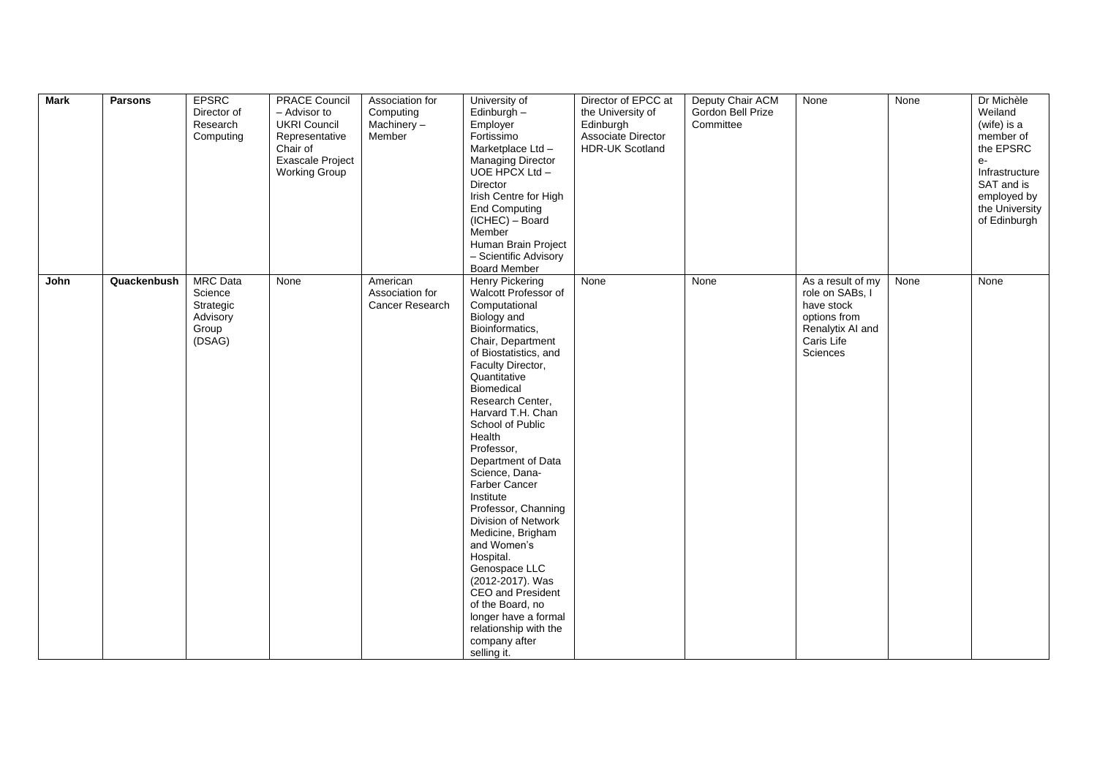| <b>Mark</b> | <b>Parsons</b> | <b>EPSRC</b><br>Director of<br>Research<br>Computing                   | <b>PRACE Council</b><br>- Advisor to<br><b>UKRI Council</b><br>Representative<br>Chair of<br>Exascale Project<br><b>Working Group</b> | Association for<br>Computing<br>Machinery $-$<br>Member | University of<br>Edinburgh -<br>Employer<br>Fortissimo<br>Marketplace Ltd -<br><b>Managing Director</b><br>UOE HPCX Ltd-<br>Director<br>Irish Centre for High<br><b>End Computing</b><br>(ICHEC) - Board<br>Member<br>Human Brain Project<br>- Scientific Advisory<br><b>Board Member</b>                                                                                                                                                                                                                                                                                                                                   | Director of EPCC at<br>the University of<br>Edinburgh<br>Associate Director<br><b>HDR-UK Scotland</b> | Deputy Chair ACM<br>Gordon Bell Prize<br>Committee | None                                                                                                             | None | Dr Michèle<br>Weiland<br>(wife) is a<br>member of<br>the EPSRC<br>$e-$<br>Infrastructure<br>SAT and is<br>employed by<br>the University<br>of Edinburgh |
|-------------|----------------|------------------------------------------------------------------------|---------------------------------------------------------------------------------------------------------------------------------------|---------------------------------------------------------|-----------------------------------------------------------------------------------------------------------------------------------------------------------------------------------------------------------------------------------------------------------------------------------------------------------------------------------------------------------------------------------------------------------------------------------------------------------------------------------------------------------------------------------------------------------------------------------------------------------------------------|-------------------------------------------------------------------------------------------------------|----------------------------------------------------|------------------------------------------------------------------------------------------------------------------|------|---------------------------------------------------------------------------------------------------------------------------------------------------------|
| John        | Quackenbush    | <b>MRC</b> Data<br>Science<br>Strategic<br>Advisory<br>Group<br>(DSAG) | None                                                                                                                                  | American<br>Association for<br>Cancer Research          | <b>Henry Pickering</b><br>Walcott Professor of<br>Computational<br>Biology and<br>Bioinformatics,<br>Chair, Department<br>of Biostatistics, and<br>Faculty Director,<br>Quantitative<br>Biomedical<br>Research Center,<br>Harvard T.H. Chan<br>School of Public<br>Health<br>Professor,<br>Department of Data<br>Science, Dana-<br>Farber Cancer<br>Institute<br>Professor, Channing<br>Division of Network<br>Medicine, Brigham<br>and Women's<br>Hospital.<br>Genospace LLC<br>(2012-2017). Was<br>CEO and President<br>of the Board, no<br>longer have a formal<br>relationship with the<br>company after<br>selling it. | None                                                                                                  | None                                               | As a result of my<br>role on SABs, I<br>have stock<br>options from<br>Renalytix AI and<br>Caris Life<br>Sciences | None | None                                                                                                                                                    |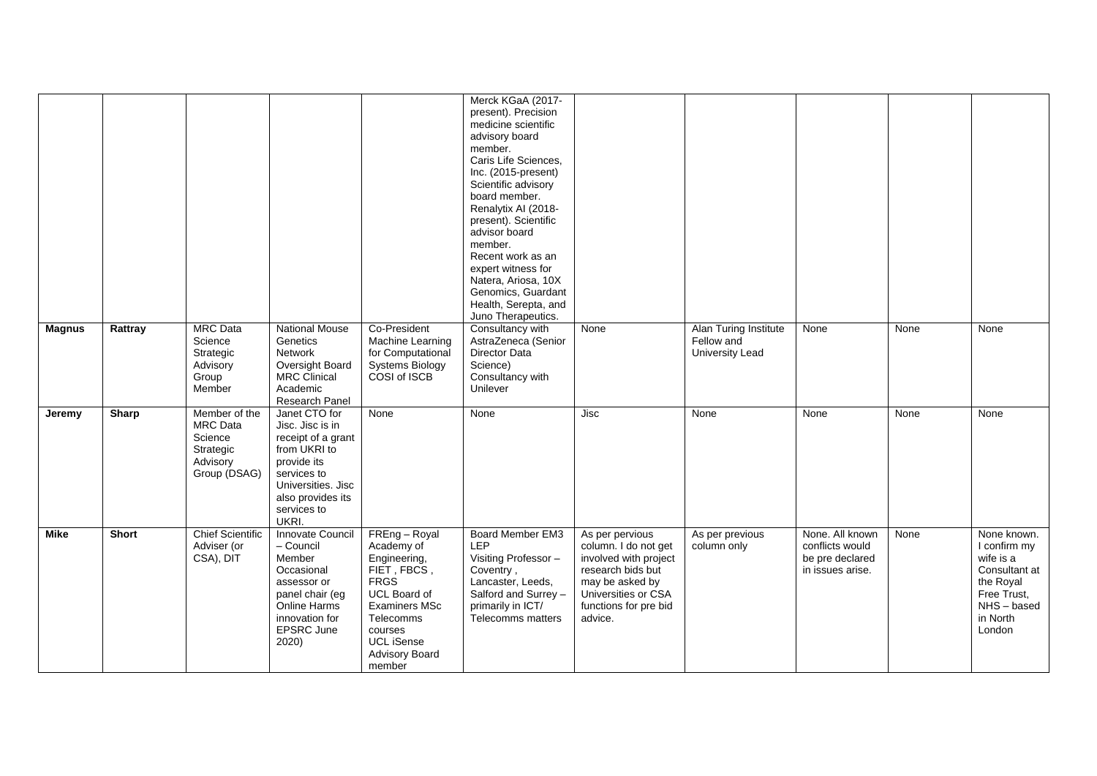|               |              |                                                                                      |                                                                                                                                                                          |                                                                                                                                                                                                          | Merck KGaA (2017-<br>present). Precision<br>medicine scientific<br>advisory board<br>member.<br>Caris Life Sciences,<br>Inc. (2015-present)<br>Scientific advisory<br>board member.<br>Renalytix AI (2018-<br>present). Scientific<br>advisor board<br>member.<br>Recent work as an<br>expert witness for<br>Natera, Ariosa, 10X<br>Genomics, Guardant<br>Health, Serepta, and<br>Juno Therapeutics. |                                                                                                                                                                     |                                                        |                                                                           |      |                                                                                                                          |
|---------------|--------------|--------------------------------------------------------------------------------------|--------------------------------------------------------------------------------------------------------------------------------------------------------------------------|----------------------------------------------------------------------------------------------------------------------------------------------------------------------------------------------------------|------------------------------------------------------------------------------------------------------------------------------------------------------------------------------------------------------------------------------------------------------------------------------------------------------------------------------------------------------------------------------------------------------|---------------------------------------------------------------------------------------------------------------------------------------------------------------------|--------------------------------------------------------|---------------------------------------------------------------------------|------|--------------------------------------------------------------------------------------------------------------------------|
| <b>Magnus</b> | Rattray      | <b>MRC</b> Data<br>Science<br>Strategic<br>Advisory<br>Group<br>Member               | <b>National Mouse</b><br>Genetics<br>Network<br>Oversight Board<br>MRC Clinical<br>Academic<br>Research Panel                                                            | Co-President<br>Machine Learning<br>for Computational<br><b>Systems Biology</b><br>COSI of ISCB                                                                                                          | Consultancy with<br>AstraZeneca (Senior<br>Director Data<br>Science)<br>Consultancy with<br>Unilever                                                                                                                                                                                                                                                                                                 | None                                                                                                                                                                | Alan Turing Institute<br>Fellow and<br>University Lead | None                                                                      | None | None                                                                                                                     |
| Jeremy        | <b>Sharp</b> | Member of the<br><b>MRC</b> Data<br>Science<br>Strategic<br>Advisory<br>Group (DSAG) | Janet CTO for<br>Jisc. Jisc is in<br>receipt of a grant<br>from UKRI to<br>provide its<br>services to<br>Universities. Jisc<br>also provides its<br>services to<br>UKRI. | None                                                                                                                                                                                                     | None                                                                                                                                                                                                                                                                                                                                                                                                 | Jisc                                                                                                                                                                | None                                                   | None                                                                      | None | None                                                                                                                     |
| Mike          | <b>Short</b> | <b>Chief Scientific</b><br>Adviser (or<br>CSA), DIT                                  | Innovate Council<br>- Council<br>Member<br>Occasional<br>assessor or<br>panel chair (eg<br>Online Harms<br>innovation for<br>EPSRC June<br>2020)                         | FREng - Royal<br>Academy of<br>Engineering,<br>FIET, FBCS,<br><b>FRGS</b><br>UCL Board of<br><b>Examiners MSc</b><br><b>Telecomms</b><br>courses<br><b>UCL iSense</b><br><b>Advisory Board</b><br>member | Board Member EM3<br>LEP<br>Visiting Professor -<br>Coventry,<br>Lancaster, Leeds,<br>Salford and Surrey -<br>primarily in ICT/<br>Telecomms matters                                                                                                                                                                                                                                                  | As per pervious<br>column. I do not get<br>involved with project<br>research bids but<br>may be asked by<br>Universities or CSA<br>functions for pre bid<br>advice. | As per previous<br>column only                         | None. All known<br>conflicts would<br>be pre declared<br>in issues arise. | None | None known.<br>I confirm my<br>wife is a<br>Consultant at<br>the Royal<br>Free Trust,<br>NHS-based<br>in North<br>London |